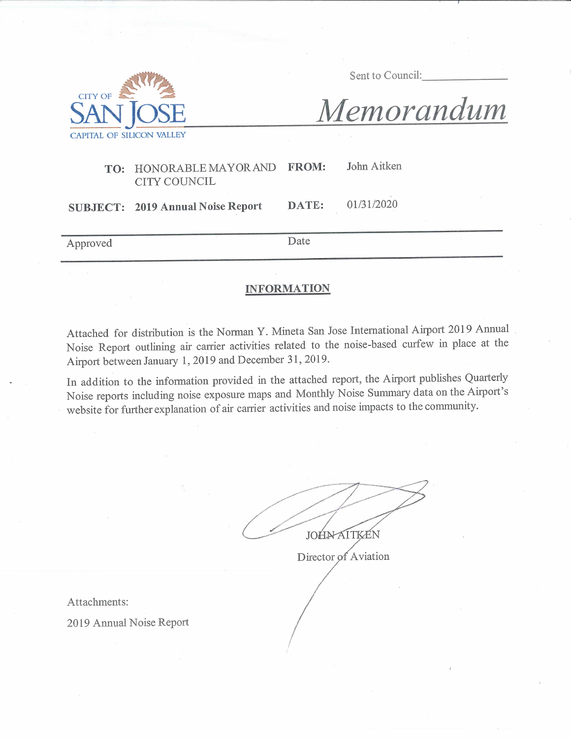

Sent to Council:

01/31/2020

Memorandum

#### John Aitken TO: HONORABLE MAYOR AND **FROM: CITY COUNCIL**

DATE: **SUBJECT: 2019 Annual Noise Report** 

Approved

Date

#### **INFORMATION**

Attached for distribution is the Norman Y. Mineta San Jose International Airport 2019 Annual Noise Report outlining air carrier activities related to the noise-based curfew in place at the Airport between January 1, 2019 and December 31, 2019.

In addition to the information provided in the attached report, the Airport publishes Quarterly Noise reports including noise exposure maps and Monthly Noise Summary data on the Airport's website for further explanation of air carrier activities and noise impacts to the community.

**JOHNAITKEN** 

Director of Aviation

Attachments:

2019 Annual Noise Report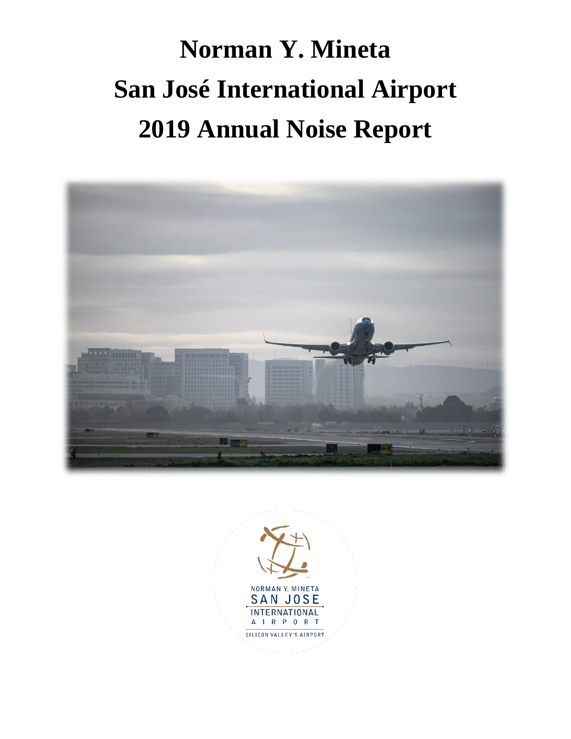# **Norman Y. Mineta San José International Airport 2019 Annual Noise Report**



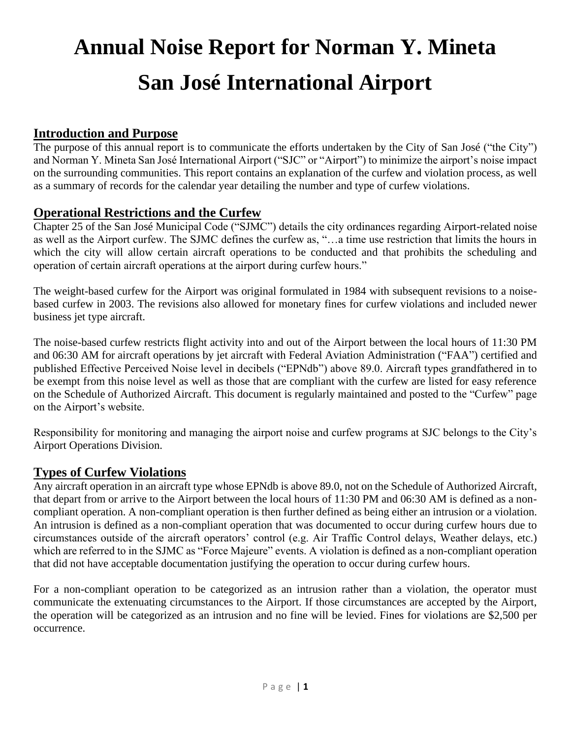## **Annual Noise Report for Norman Y. Mineta San José International Airport**

#### **Introduction and Purpose**

The purpose of this annual report is to communicate the efforts undertaken by the City of San José ("the City") and Norman Y. Mineta San José International Airport ("SJC" or "Airport") to minimize the airport's noise impact on the surrounding communities. This report contains an explanation of the curfew and violation process, as well as a summary of records for the calendar year detailing the number and type of curfew violations.

#### **Operational Restrictions and the Curfew**

Chapter 25 of the San José Municipal Code ("SJMC") details the city ordinances regarding Airport-related noise as well as the Airport curfew. The SJMC defines the curfew as, "…a time use restriction that limits the hours in which the city will allow certain aircraft operations to be conducted and that prohibits the scheduling and operation of certain aircraft operations at the airport during curfew hours."

The weight-based curfew for the Airport was original formulated in 1984 with subsequent revisions to a noisebased curfew in 2003. The revisions also allowed for monetary fines for curfew violations and included newer business jet type aircraft.

The noise-based curfew restricts flight activity into and out of the Airport between the local hours of 11:30 PM and 06:30 AM for aircraft operations by jet aircraft with Federal Aviation Administration ("FAA") certified and published Effective Perceived Noise level in decibels ("EPNdb") above 89.0. Aircraft types grandfathered in to be exempt from this noise level as well as those that are compliant with the curfew are listed for easy reference on the Schedule of Authorized Aircraft. This document is regularly maintained and posted to the "Curfew" page on the Airport's website.

Responsibility for monitoring and managing the airport noise and curfew programs at SJC belongs to the City's Airport Operations Division.

#### **Types of Curfew Violations**

Any aircraft operation in an aircraft type whose EPNdb is above 89.0, not on the Schedule of Authorized Aircraft, that depart from or arrive to the Airport between the local hours of 11:30 PM and 06:30 AM is defined as a noncompliant operation. A non-compliant operation is then further defined as being either an intrusion or a violation. An intrusion is defined as a non-compliant operation that was documented to occur during curfew hours due to circumstances outside of the aircraft operators' control (e.g. Air Traffic Control delays, Weather delays, etc.) which are referred to in the SJMC as "Force Majeure" events. A violation is defined as a non-compliant operation that did not have acceptable documentation justifying the operation to occur during curfew hours.

For a non-compliant operation to be categorized as an intrusion rather than a violation, the operator must communicate the extenuating circumstances to the Airport. If those circumstances are accepted by the Airport, the operation will be categorized as an intrusion and no fine will be levied. Fines for violations are \$2,500 per occurrence.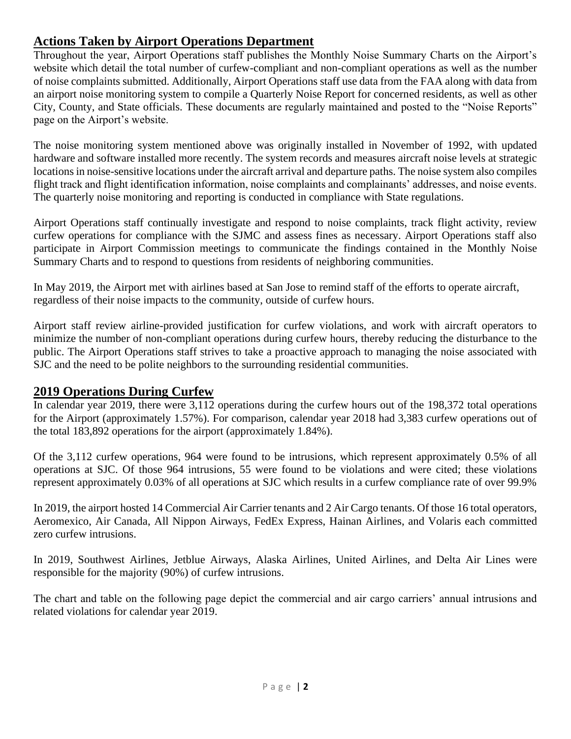### **Actions Taken by Airport Operations Department**

Throughout the year, Airport Operations staff publishes the Monthly Noise Summary Charts on the Airport's website which detail the total number of curfew-compliant and non-compliant operations as well as the number of noise complaints submitted. Additionally, Airport Operations staff use data from the FAA along with data from an airport noise monitoring system to compile a Quarterly Noise Report for concerned residents, as well as other City, County, and State officials. These documents are regularly maintained and posted to the "Noise Reports" page on the Airport's website.

The noise monitoring system mentioned above was originally installed in November of 1992, with updated hardware and software installed more recently. The system records and measures aircraft noise levels at strategic locations in noise-sensitive locations under the aircraft arrival and departure paths. The noise system also compiles flight track and flight identification information, noise complaints and complainants' addresses, and noise events. The quarterly noise monitoring and reporting is conducted in compliance with State regulations.

Airport Operations staff continually investigate and respond to noise complaints, track flight activity, review curfew operations for compliance with the SJMC and assess fines as necessary. Airport Operations staff also participate in Airport Commission meetings to communicate the findings contained in the Monthly Noise Summary Charts and to respond to questions from residents of neighboring communities.

In May 2019, the Airport met with airlines based at San Jose to remind staff of the efforts to operate aircraft, regardless of their noise impacts to the community, outside of curfew hours.

Airport staff review airline-provided justification for curfew violations, and work with aircraft operators to minimize the number of non-compliant operations during curfew hours, thereby reducing the disturbance to the public. The Airport Operations staff strives to take a proactive approach to managing the noise associated with SJC and the need to be polite neighbors to the surrounding residential communities.

#### **2019 Operations During Curfew**

In calendar year 2019, there were 3,112 operations during the curfew hours out of the 198,372 total operations for the Airport (approximately 1.57%). For comparison, calendar year 2018 had 3,383 curfew operations out of the total 183,892 operations for the airport (approximately 1.84%).

Of the 3,112 curfew operations, 964 were found to be intrusions, which represent approximately 0.5% of all operations at SJC. Of those 964 intrusions, 55 were found to be violations and were cited; these violations represent approximately 0.03% of all operations at SJC which results in a curfew compliance rate of over 99.9%

In 2019, the airport hosted 14 Commercial Air Carrier tenants and 2 Air Cargo tenants. Of those 16 total operators, Aeromexico, Air Canada, All Nippon Airways, FedEx Express, Hainan Airlines, and Volaris each committed zero curfew intrusions.

In 2019, Southwest Airlines, Jetblue Airways, Alaska Airlines, United Airlines, and Delta Air Lines were responsible for the majority (90%) of curfew intrusions.

The chart and table on the following page depict the commercial and air cargo carriers' annual intrusions and related violations for calendar year 2019.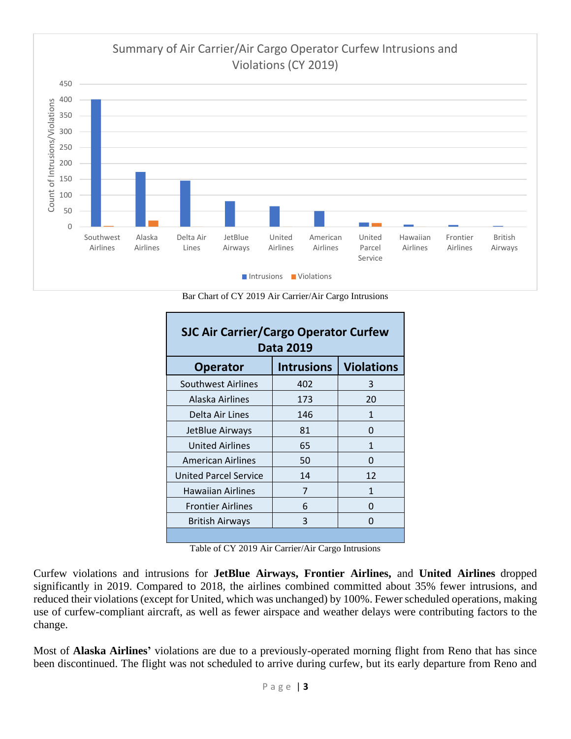

Bar Chart of CY 2019 Air Carrier/Air Cargo Intrusions

| <b>SJC Air Carrier/Cargo Operator Curfew</b><br><b>Data 2019</b> |                   |                   |  |
|------------------------------------------------------------------|-------------------|-------------------|--|
| <b>Operator</b>                                                  | <b>Intrusions</b> | <b>Violations</b> |  |
| <b>Southwest Airlines</b>                                        | 402               | 3                 |  |
| Alaska Airlines                                                  | 173               | 20                |  |
| Delta Air Lines                                                  | 146               | 1                 |  |
| JetBlue Airways                                                  | 81                | 0                 |  |
| <b>United Airlines</b>                                           | 65                | 1                 |  |
| <b>American Airlines</b>                                         | 50                | 0                 |  |
| <b>United Parcel Service</b>                                     | 14                | 12                |  |
| <b>Hawaiian Airlines</b>                                         | 7                 | 1                 |  |
| <b>Frontier Airlines</b>                                         | 6                 | $\Omega$          |  |
| <b>British Airways</b>                                           | 3                 | O                 |  |
|                                                                  |                   |                   |  |

Table of CY 2019 Air Carrier/Air Cargo Intrusions

Curfew violations and intrusions for **JetBlue Airways, Frontier Airlines,** and **United Airlines** dropped significantly in 2019. Compared to 2018, the airlines combined committed about 35% fewer intrusions, and reduced their violations (except for United, which was unchanged) by 100%. Fewer scheduled operations, making use of curfew-compliant aircraft, as well as fewer airspace and weather delays were contributing factors to the change.

Most of **Alaska Airlines'** violations are due to a previously-operated morning flight from Reno that has since been discontinued. The flight was not scheduled to arrive during curfew, but its early departure from Reno and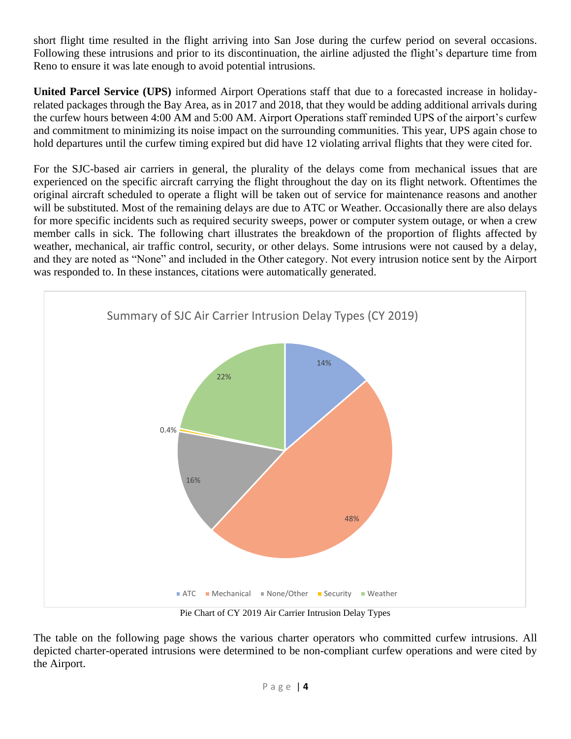short flight time resulted in the flight arriving into San Jose during the curfew period on several occasions. Following these intrusions and prior to its discontinuation, the airline adjusted the flight's departure time from Reno to ensure it was late enough to avoid potential intrusions.

**United Parcel Service (UPS)** informed Airport Operations staff that due to a forecasted increase in holidayrelated packages through the Bay Area, as in 2017 and 2018, that they would be adding additional arrivals during the curfew hours between 4:00 AM and 5:00 AM. Airport Operations staff reminded UPS of the airport's curfew and commitment to minimizing its noise impact on the surrounding communities. This year, UPS again chose to hold departures until the curfew timing expired but did have 12 violating arrival flights that they were cited for.

For the SJC-based air carriers in general, the plurality of the delays come from mechanical issues that are experienced on the specific aircraft carrying the flight throughout the day on its flight network. Oftentimes the original aircraft scheduled to operate a flight will be taken out of service for maintenance reasons and another will be substituted. Most of the remaining delays are due to ATC or Weather. Occasionally there are also delays for more specific incidents such as required security sweeps, power or computer system outage, or when a crew member calls in sick. The following chart illustrates the breakdown of the proportion of flights affected by weather, mechanical, air traffic control, security, or other delays. Some intrusions were not caused by a delay, and they are noted as "None" and included in the Other category. Not every intrusion notice sent by the Airport was responded to. In these instances, citations were automatically generated.



Pie Chart of CY 2019 Air Carrier Intrusion Delay Types

The table on the following page shows the various charter operators who committed curfew intrusions. All depicted charter-operated intrusions were determined to be non-compliant curfew operations and were cited by the Airport.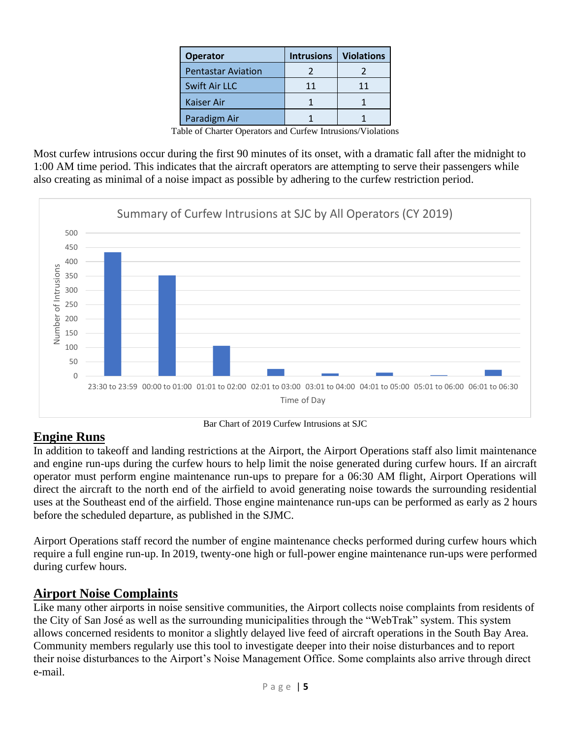| <b>Operator</b>           | <b>Intrusions</b> | <b>Violations</b> |
|---------------------------|-------------------|-------------------|
| <b>Pentastar Aviation</b> |                   |                   |
| Swift Air LLC             | 11                | 11                |
| Kaiser Air                |                   |                   |
| Paradigm Air              |                   |                   |

Table of Charter Operators and Curfew Intrusions/Violations

Most curfew intrusions occur during the first 90 minutes of its onset, with a dramatic fall after the midnight to 1:00 AM time period. This indicates that the aircraft operators are attempting to serve their passengers while also creating as minimal of a noise impact as possible by adhering to the curfew restriction period.



#### **Engine Runs**

In addition to takeoff and landing restrictions at the Airport, the Airport Operations staff also limit maintenance and engine run-ups during the curfew hours to help limit the noise generated during curfew hours. If an aircraft operator must perform engine maintenance run-ups to prepare for a 06:30 AM flight, Airport Operations will direct the aircraft to the north end of the airfield to avoid generating noise towards the surrounding residential uses at the Southeast end of the airfield. Those engine maintenance run-ups can be performed as early as 2 hours before the scheduled departure, as published in the SJMC.

Airport Operations staff record the number of engine maintenance checks performed during curfew hours which require a full engine run-up. In 2019, twenty-one high or full-power engine maintenance run-ups were performed during curfew hours.

#### **Airport Noise Complaints**

Like many other airports in noise sensitive communities, the Airport collects noise complaints from residents of the City of San José as well as the surrounding municipalities through the "WebTrak" system. This system allows concerned residents to monitor a slightly delayed live feed of aircraft operations in the South Bay Area. Community members regularly use this tool to investigate deeper into their noise disturbances and to report their noise disturbances to the Airport's Noise Management Office. Some complaints also arrive through direct e-mail.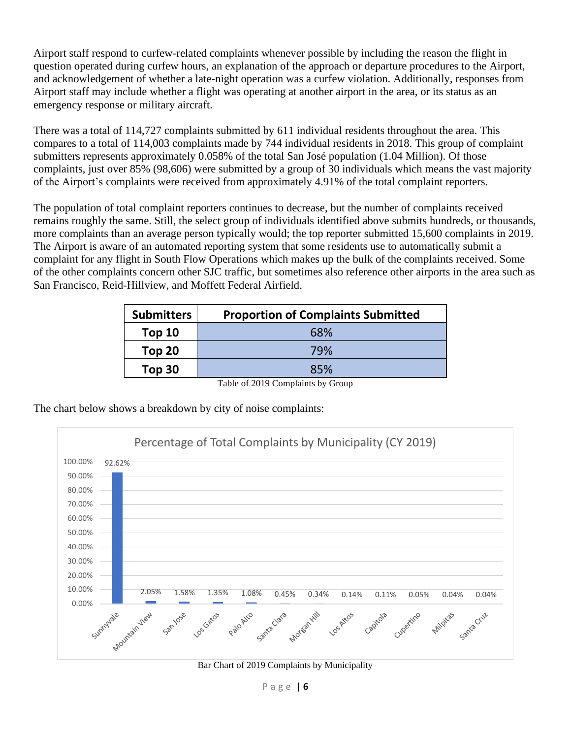Airport staff respond to curfew-related complaints whenever possible by including the reason the flight in question operated during curfew hours, an explanation of the approach or departure procedures to the Airport, and acknowledgement of whether a late-night operation was a curfew violation. Additionally, responses from Airport staff may include whether a flight was operating at another airport in the area, or its status as an emergency response or military aircraft.

There was a total of 114,727 complaints submitted by 611 individual residents throughout the area. This compares to a total of 114,003 complaints made by 744 individual residents in 2018. This group of complaint submitters represents approximately 0.058% of the total San José population (1.04 Million). Of those complaints, just over 85% (98,606) were submitted by a group of 30 individuals which means the vast majority of the Airport's complaints were received from approximately 4.91% of the total complaint reporters.

The population of total complaint reporters continues to decrease, but the number of complaints received remains roughly the same. Still, the select group of individuals identified above submits hundreds, or thousands, more complaints than an average person typically would; the top reporter submitted 15,600 complaints in 2019. The Airport is aware of an automated reporting system that some residents use to automatically submit a complaint for any flight in South Flow Operations which makes up the bulk of the complaints received. Some of the other complaints concern other SJC traffic, but sometimes also reference other airports in the area such as San Francisco, Reid-Hillview, and Moffett Federal Airfield.

| <b>Submitters</b> | <b>Proportion of Complaints Submitted</b> |
|-------------------|-------------------------------------------|
| Top <sub>10</sub> | 68%                                       |
| Top 20            | 79%                                       |
| Top 30            | 85%                                       |

Table of 2019 Complaints by Group

The chart below shows a breakdown by city of noise complaints:



Bar Chart of 2019 Complaints by Municipality